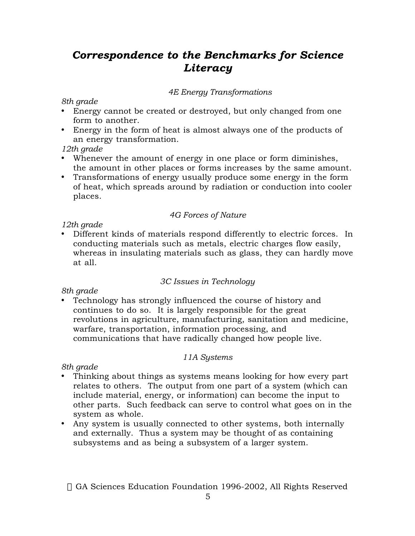# *Correspondence to the Benchmarks for Science Literacy*

## *4E Energy Transformations*

### *8th grade*

Energy cannot be created or destroyed, but only changed from one form to another.

Energy in the form of heat is almost always one of the products of an energy transformation.

*12th grade*

Whenever the amount of energy in one place or form diminishes, the amount in other places or forms increases by the same amount. Transformations of energy usually produce some energy in the form of heat, which spreads around by radiation or conduction into cooler places.

### *4G Forces of Nature*

### *12th grade*

Different kinds of materials respond differently to electric forces. In conducting materials such as metals, electric charges flow easily, whereas in insulating materials such as glass, they can hardly move at all.

## *3C Issues in Technology*

*8th grade*

Technology has strongly influenced the course of history and continues to do so. It is largely responsible for the great revolutions in agriculture, manufacturing, sanitation and medicine, warfare, transportation, information processing, and communications that have radically changed how people live.

## *11A Systems*

*8th grade*

Thinking about things as systems means looking for how every part relates to others. The output from one part of a system (which can include material, energy, or information) can become the input to other parts. Such feedback can serve to control what goes on in the system as whole.

Any system is usually connected to other systems, both internally and externally. Thus a system may be thought of as containing subsystems and as being a subsystem of a larger system.

© GA Sciences Education Foundation 1996-2002, All Rights Reserved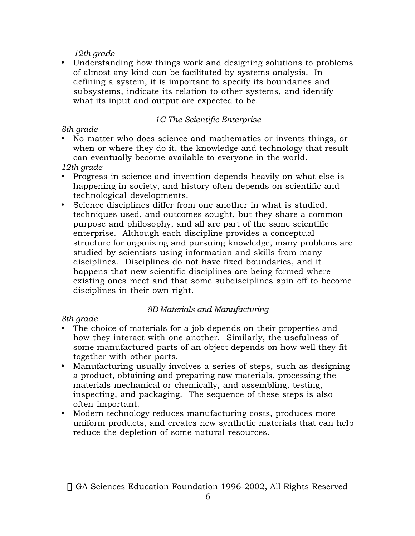## *12th grade*

Understanding how things work and designing solutions to problems of almost any kind can be facilitated by systems analysis. In defining a system, it is important to specify its boundaries and subsystems, indicate its relation to other systems, and identify what its input and output are expected to be.

## *1C The Scientific Enterprise*

## *8th grade*

No matter who does science and mathematics or invents things, or when or where they do it, the knowledge and technology that result can eventually become available to everyone in the world.

## *12th grade*

Progress in science and invention depends heavily on what else is happening in society, and history often depends on scientific and technological developments.

Science disciplines differ from one another in what is studied, techniques used, and outcomes sought, but they share a common purpose and philosophy, and all are part of the same scientific enterprise. Although each discipline provides a conceptual structure for organizing and pursuing knowledge, many problems are studied by scientists using information and skills from many disciplines. Disciplines do not have fixed boundaries, and it happens that new scientific disciplines are being formed where existing ones meet and that some subdisciplines spin off to become disciplines in their own right.

## *8B Materials and Manufacturing*

## *8th grade*

The choice of materials for a job depends on their properties and how they interact with one another. Similarly, the usefulness of some manufactured parts of an object depends on how well they fit together with other parts.

Manufacturing usually involves a series of steps, such as designing a product, obtaining and preparing raw materials, processing the materials mechanical or chemically, and assembling, testing, inspecting, and packaging. The sequence of these steps is also often important.

Modern technology reduces manufacturing costs, produces more uniform products, and creates new synthetic materials that can help reduce the depletion of some natural resources.